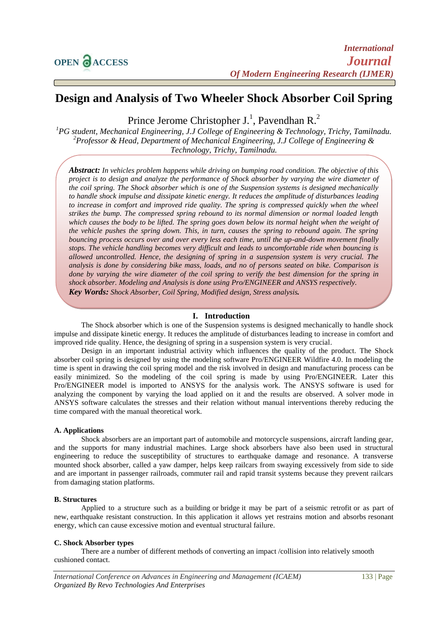# **Design and Analysis of Two Wheeler Shock Absorber Coil Spring**

Prince Jerome Christopher J.<sup>1</sup>, Pavendhan R.<sup>2</sup>

*<sup>1</sup>PG student, Mechanical Engineering, J.J College of Engineering & Technology, Trichy, Tamilnadu. <sup>2</sup>Professor & Head, Department of Mechanical Engineering, J.J College of Engineering & Technology, Trichy, Tamilnadu.*

*Abstract: In vehicles problem happens while driving on bumping road condition. The objective of this project is to design and analyze the performance of Shock absorber by varying the wire diameter of the coil spring. The Shock absorber which is one of the Suspension systems is designed mechanically to handle shock impulse and dissipate kinetic energy. It reduces the amplitude of disturbances leading to increase in comfort and improved ride quality. The spring is compressed quickly when the wheel strikes the bump. The compressed spring rebound to its normal dimension or normal loaded length which causes the body to be lifted. The spring goes down below its normal height when the weight of the vehicle pushes the spring down. This, in turn, causes the spring to rebound again. The spring bouncing process occurs over and over every less each time, until the up-and-down movement finally stops. The vehicle handling becomes very difficult and leads to uncomfortable ride when bouncing is allowed uncontrolled. Hence, the designing of spring in a suspension system is very crucial. The analysis is done by considering bike mass, loads, and no of persons seated on bike. Comparison is done by varying the wire diameter of the coil spring to verify the best dimension for the spring in shock absorber. Modeling and Analysis is done using Pro/ENGINEER and ANSYS respectively. Key Words: Shock Absorber, Coil Spring, Modified design, Stress analysis.*

## **I. Introduction**

The Shock absorber which is one of the Suspension systems is designed mechanically to handle shock impulse and dissipate kinetic energy. It reduces the amplitude of disturbances leading to increase in comfort and improved ride quality. Hence, the designing of spring in a suspension system is very crucial.

Design in an important industrial activity which influences the quality of the product. The Shock absorber coil spring is designed by using the modeling software Pro/ENGINEER Wildfire 4.0. In modeling the time is spent in drawing the coil spring model and the risk involved in design and manufacturing process can be easily minimized. So the modeling of the coil spring is made by using Pro/ENGINEER. Later this Pro/ENGINEER model is imported to ANSYS for the analysis work. The ANSYS software is used for analyzing the component by varying the load applied on it and the results are observed. A solver mode in ANSYS software calculates the stresses and their relation without manual interventions thereby reducing the time compared with the manual theoretical work.

## **A. Applications**

Shock absorbers are an important part of automobile and motorcycle suspensions, aircraft landing gear, and the supports for many industrial machines. Large shock absorbers have also been used in structural engineering to reduce the susceptibility of structures to earthquake damage and resonance. A transverse mounted shock absorber, called a yaw damper, helps keep railcars from swaying excessively from side to side and are important in passenger railroads, commuter rail and rapid transit systems because they prevent railcars from damaging station platforms.

#### **B. Structures**

Applied to a structure such as a [building](http://en.wikipedia.org/wiki/Building) or [bridge](http://en.wikipedia.org/wiki/Bridge) it may be part of a [seismic retrofit](http://en.wikipedia.org/wiki/Seismic_retrofit) or as part of new, [earthquake resistant construction.](http://en.wikipedia.org/wiki/Earthquake_engineering) In this application it allows yet restrains motion and absorbs [resonant](http://en.wikipedia.org/wiki/Resonance)  [energy,](http://en.wikipedia.org/wiki/Resonance) which can cause excessive motion and eventual [structural failure.](http://en.wikipedia.org/wiki/Structural_failure)

#### **C. Shock Absorber types**

There are a number of different methods of converting an impact /collision into relatively smooth cushioned contact.

*International Conference on Advances in Engineering and Management (ICAEM)* 133 | Page *Organized By Revo Technologies And Enterprises*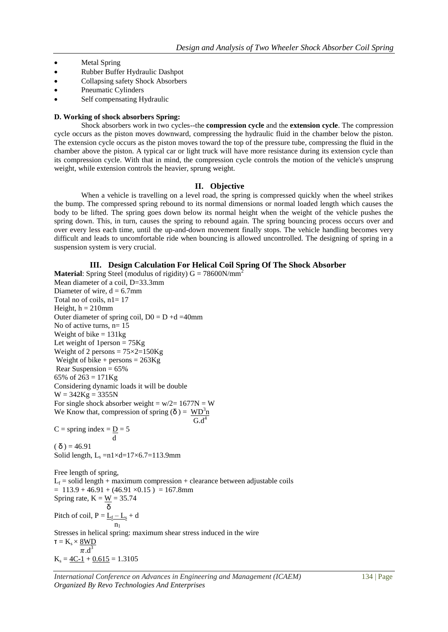- Metal Spring
- Rubber Buffer Hydraulic Dashpot
- Collapsing safety Shock Absorbers
- Pneumatic Cylinders
- Self compensating Hydraulic

#### **D. Working of shock absorbers Spring:**

Shock absorbers work in two cycles--the **compression cycle** and the **extension cycle**. The compression cycle occurs as the piston moves downward, compressing the hydraulic fluid in the chamber below the piston. The extension cycle occurs as the piston moves toward the top of the pressure tube, compressing the fluid in the chamber above the piston. A typical car or light truck will have more resistance during its extension cycle than its compression cycle. With that in mind, the compression cycle controls the motion of the vehicle's unsprung weight, while extension controls the heavier, sprung weight.

#### **II. Objective**

When a vehicle is travelling on a level road, the spring is compressed quickly when the wheel strikes the bump. The compressed spring rebound to its normal dimensions or normal loaded length which causes the body to be lifted. The spring goes down below its normal height when the weight of the vehicle pushes the spring down. This, in turn, causes the spring to rebound again. The spring bouncing process occurs over and over every less each time, until the up-and-down movement finally stops. The vehicle handling becomes very difficult and leads to uncomfortable ride when bouncing is allowed uncontrolled. The designing of spring in a suspension system is very crucial.

#### **III. Design Calculation For Helical Coil Spring Of The Shock Absorber**

**Material:** Spring Steel (modulus of rigidity)  $G = 78600N/mm^2$ Mean diameter of a coil, D=33.3mm Diameter of wire,  $d = 6.7$ mm Total no of coils, n1= 17 Height,  $h = 210$ mm Outer diameter of spring coil,  $D0 = D + d = 40$ mm No of active turns,  $n=15$ Weight of bike  $= 131$ kg Let weight of  $1$  person =  $75$ Kg Weight of 2 persons  $= 75 \times 2 = 150$ Kg Weight of bike + persons  $= 263$ Kg Rear Suspension  $= 65\%$ 65% of  $263 = 171$  Kg Considering dynamic loads it will be double  $W = 342Kg = 3355N$ For single shock absorber weight =  $w/2=1677N = W$ We Know that, compression of spring  $(\delta) = W D^3 n$  $G.d<sup>4</sup>$  $G.d<sup>4</sup>$ 

 $C =$ spring index =  $D = 5$  d  $(δ) = 46.91$ Solid length,  $L_s = n1 \times d = 17 \times 6.7 = 113.9$ mm

Free length of spring,  $L_f$  = solid length + maximum compression + clearance between adjustable coils  $= 113.9 + 46.91 + (46.91 \times 0.15) = 167.8$ mm Spring rate,  $K = \frac{W}{\delta} = 35.74$  δ Pitch of coil,  $P = \underline{L_f - L_s} + d$  $n_1$ Stresses in helical spring: maximum shear stress induced in the wire  $\tau = K_s \times 8WD$  $\pi \cdot d^3$  $K_s = 4C-1 + 0.615 = 1.3105$ 

*International Conference on Advances in Engineering and Management (ICAEM)* 134 | Page *Organized By Revo Technologies And Enterprises*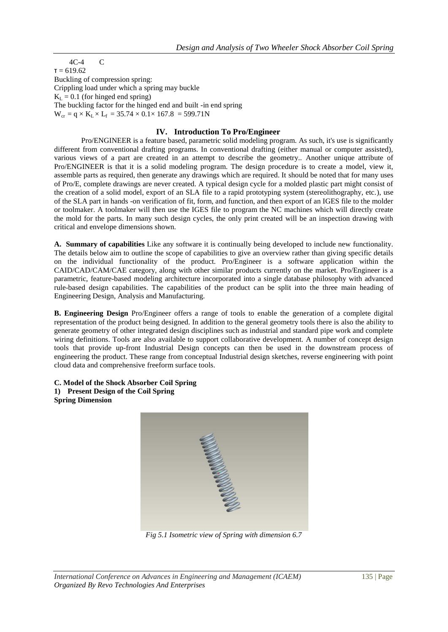4C-4 C  $t = 619.62$ Buckling of compression spring: Crippling load under which a spring may buckle  $K_I = 0.1$  (for hinged end spring) The buckling factor for the hinged end and built -in end spring  $W_{cr} = q \times K_L \times L_f = 35.74 \times 0.1 \times 167.8 = 599.71N$ 

# **IV. Introduction To Pro/Engineer**

Pro/ENGINEER is a feature based, parametric solid modeling program. As such, it's use is significantly different from conventional drafting programs. In conventional drafting (either manual or computer assisted), various views of a part are created in an attempt to describe the geometry.. Another unique attribute of Pro/ENGINEER is that it is a solid modeling program. The design procedure is to create a model, view it, assemble parts as required, then generate any drawings which are required. It should be noted that for many uses of Pro/E, complete drawings are never created. A typical design cycle for a molded plastic part might consist of the creation of a solid model, export of an SLA file to a rapid prototyping system (stereolithography, etc.), use of the SLA part in hands -on verification of fit, form, and function, and then export of an IGES file to the molder or toolmaker. A toolmaker will then use the IGES file to program the NC machines which will directly create the mold for the parts. In many such design cycles, the only print created will be an inspection drawing with critical and envelope dimensions shown.

**A. Summary of capabilities** Like any software it is continually being developed to include new functionality. The details below aim to outline the scope of capabilities to give an overview rather than giving specific details on the individual functionality of the product. Pro/Engineer is a software application within the CAID/CAD/CAM/CAE category, along with other similar products currently on the market. Pro/Engineer is a parametric, feature-based modeling architecture incorporated into a single database philosophy with advanced rule-based design capabilities. The capabilities of the product can be split into the three main heading of Engineering Design, Analysis and Manufacturing.

**B. Engineering Design** Pro/Engineer offers a range of tools to enable the generation of a complete digital representation of the product being designed. In addition to the general geometry tools there is also the ability to generate geometry of other integrated design disciplines such as industrial and standard pipe work and complete wiring definitions. Tools are also available to support collaborative development. A number of concept design tools that provide up-front Industrial Design concepts can then be used in the downstream process of engineering the product. These range from conceptual Industrial design sketches, reverse engineering with point cloud data and comprehensive freeform surface tools.

**C. Model of the Shock Absorber Coil Spring 1) Present Design of the Coil Spring Spring Dimension**



*Fig 5.1 Isometric view of Spring with dimension 6.7*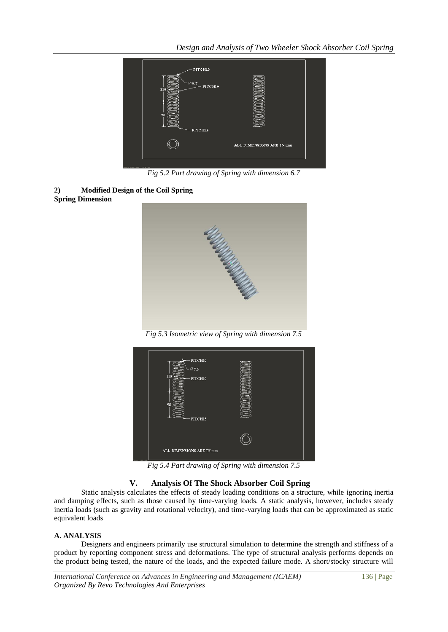

*Fig 5.2 Part drawing of Spring with dimension 6.7*





*Fig 5.3 Isometric view of Spring with dimension 7.5*

|               | PITCH10<br>$\emptyset$ 7.5<br>110<br>PITCH10<br>98<br>PITCH15 |  |
|---------------|---------------------------------------------------------------|--|
|               |                                                               |  |
| VOIA SIZE: A4 | ALL DIMENSIONS ARE IN mm                                      |  |

*Fig 5.4 Part drawing of Spring with dimension 7.5*

# **V. Analysis Of The Shock Absorber Coil Spring**

Static analysis calculates the effects of steady loading conditions on a structure, while ignoring inertia and damping effects, such as those caused by time-varying loads. A static analysis, however, includes steady inertia loads (such as gravity and rotational velocity), and time-varying loads that can be approximated as static equivalent loads

## **A. ANALYSIS**

Designers and engineers primarily use structural simulation to determine the strength and stiffness of a product by reporting component stress and deformations. The type of structural analysis performs depends on the product being tested, the nature of the loads, and the expected failure mode. A short/stocky structure will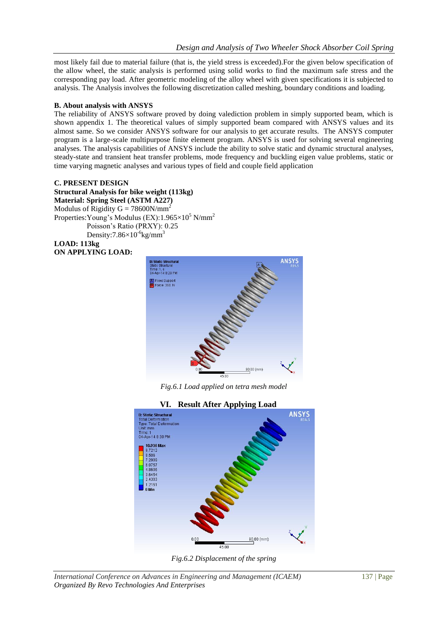most likely fail due to material failure (that is, the yield stress is exceeded).For the given below specification of the allow wheel, the static analysis is performed using solid works to find the maximum safe stress and the corresponding pay load. After geometric modeling of the alloy wheel with given specifications it is subjected to analysis. The Analysis involves the following discretization called meshing, boundary conditions and loading.

## **B. About analysis with ANSYS**

The reliability of ANSYS software proved by doing valediction problem in simply supported beam, which is shown appendix 1. The theoretical values of simply supported beam compared with ANSYS values and its almost same. So we consider ANSYS software for our analysis to get accurate results. The ANSYS computer program is a large-scale multipurpose finite element program. ANSYS is used for solving several engineering analyses. The analysis capabilities of ANSYS include the ability to solve static and dynamic structural analyses, steady-state and transient heat transfer problems, mode frequency and buckling eigen value problems, static or time varying magnetic analyses and various types of field and couple field application

## **C. PRESENT DESIGN**

**Structural Analysis for bike weight (113kg) Material: Spring Steel (ASTM A227)** Modulus of Rigidity  $G = 78600N/mm^2$ Properties: Young's Modulus (EX): 1.965×10<sup>5</sup> N/mm<sup>2</sup> Poisson's Ratio (PRXY): 0.25 Density: $7.86\times10^{-6}$ kg/mm<sup>3</sup> **LOAD: 113kg**

**ON APPLYING LOAD:**



*Fig.6.1 Load applied on tetra mesh model*

# **VI. Result After Applying Load**





*International Conference on Advances in Engineering and Management (ICAEM)* 137 | Page *Organized By Revo Technologies And Enterprises*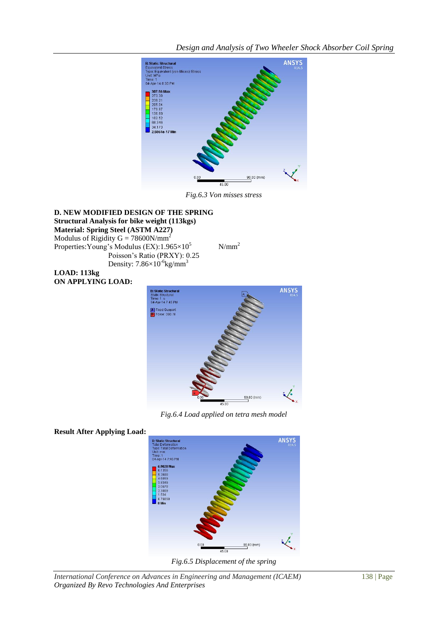*Design and Analysis of Two Wheeler Shock Absorber Coil Spring*



*Fig.6.3 Von misses stress*

## **D. NEW MODIFIED DESIGN OF THE SPRING Structural Analysis for bike weight (113kgs) Material: Spring Steel (ASTM A227)** Modulus of Rigidity G =  $78600N/mm^2$ Properties: Young's Modulus (EX):  $1.965 \times 10^5$  N/mm<sup>2</sup> Poisson's Ratio (PRXY): 0.25 Density:  $7.86\times10^{-6}$ kg/mm<sup>3</sup>

**LOAD: 113kg ON APPLYING LOAD:**



*Fig.6.4 Load applied on tetra mesh model*

# **Result After Applying Load:**



*Fig.6.5 Displacement of the spring*

*International Conference on Advances in Engineering and Management (ICAEM)* 138 | Page *Organized By Revo Technologies And Enterprises*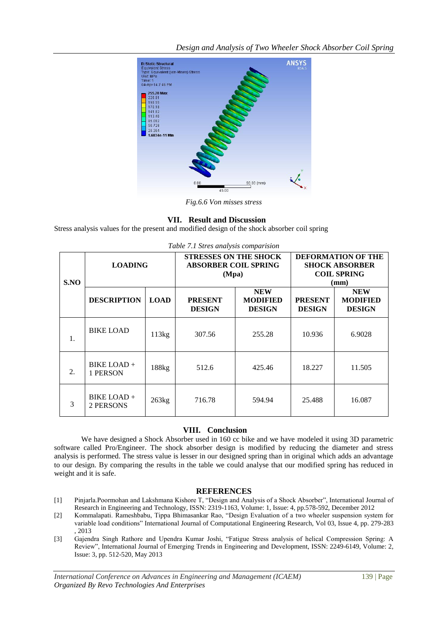*Design and Analysis of Two Wheeler Shock Absorber Coil Spring*



*Fig.6.6 Von misses stress*

# **VII. Result and Discussion**

Stress analysis values for the present and modified design of the shock absorber coil spring

| S.NO | <b>LOADING</b>           |             | <b>STRESSES ON THE SHOCK</b><br><b>ABSORBER COIL SPRING</b><br>(Mpa) |                                                | <b>DEFORMATION OF THE</b><br><b>SHOCK ABSORBER</b><br><b>COIL SPRING</b><br>$(\mathbf{mm})$ |                                                |
|------|--------------------------|-------------|----------------------------------------------------------------------|------------------------------------------------|---------------------------------------------------------------------------------------------|------------------------------------------------|
|      | <b>DESCRIPTION</b>       | <b>LOAD</b> | <b>PRESENT</b><br><b>DESIGN</b>                                      | <b>NEW</b><br><b>MODIFIED</b><br><b>DESIGN</b> | <b>PRESENT</b><br><b>DESIGN</b>                                                             | <b>NEW</b><br><b>MODIFIED</b><br><b>DESIGN</b> |
| 1.   | <b>BIKE LOAD</b>         | 113kg       | 307.56                                                               | 255.28                                         | 10.936                                                                                      | 6.9028                                         |
| 2.   | BIKE LOAD +<br>1 PERSON  | 188kg       | 512.6                                                                | 425.46                                         | 18.227                                                                                      | 11.505                                         |
| 3    | BIKE LOAD +<br>2 PERSONS | 263kg       | 716.78                                                               | 594.94                                         | 25.488                                                                                      | 16.087                                         |

*Table 7.1 Stres analysis comparision*

## **VIII. Conclusion**

We have designed a Shock Absorber used in 160 cc bike and we have modeled it using 3D parametric software called Pro/Engineer. The shock absorber design is modified by reducing the diameter and stress analysis is performed. The stress value is lesser in our designed spring than in original which adds an advantage to our design. By comparing the results in the table we could analyse that our modified spring has reduced in weight and it is safe.

# **REFERENCES**

- [1] Pinjarla.Poormohan and Lakshmana Kishore T, "Design and Analysis of a Shock Absorber", International Journal of Research in Engineering and Technology, ISSN: 2319-1163, Volume: 1, Issue: 4, pp.578-592, December 2012
- [2] Kommalapati. Rameshbabu, Tippa Bhimasankar Rao, "Design Evaluation of a two wheeler suspension system for variable load conditions" International Journal of Computational Engineering Research, Vol 03, Issue 4, pp. 279-283 , 2013
- [3] Gajendra Singh Rathore and Upendra Kumar Joshi, "Fatigue Stress analysis of helical Compression Spring: A Review", International Journal of Emerging Trends in Engineering and Development, ISSN: 2249-6149, Volume: 2, Issue: 3, pp. 512-520, May 2013